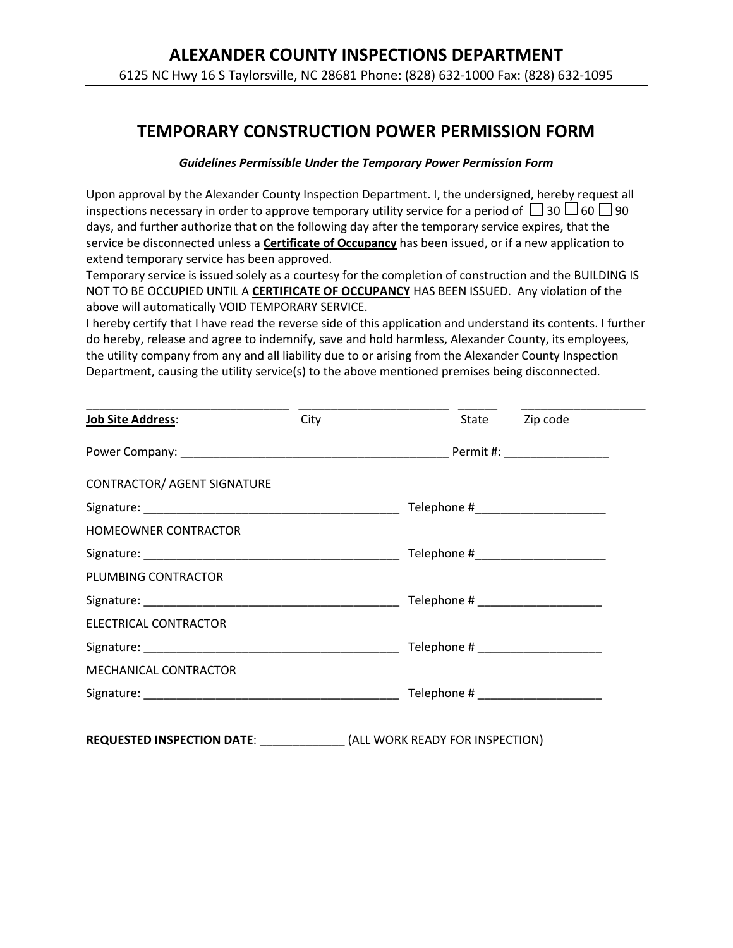## **TEMPORARY CONSTRUCTION POWER PERMISSION FORM**

### *Guidelines Permissible Under the Temporary Power Permission Form*

Upon approval by the Alexander County Inspection Department. I, the undersigned, hereby request all inspections necessary in order to approve temporary utility service for a period of  $\Box$  30  $\Box$  60  $\Box$  90 days, and further authorize that on the following day after the temporary service expires, that the service be disconnected unless a **Certificate of Occupancy** has been issued, or if a new application to extend temporary service has been approved.

Temporary service is issued solely as a courtesy for the completion of construction and the BUILDING IS NOT TO BE OCCUPIED UNTIL A **CERTIFICATE OF OCCUPANCY** HAS BEEN ISSUED. Any violation of the above will automatically VOID TEMPORARY SERVICE.

I hereby certify that I have read the reverse side of this application and understand its contents. I further do hereby, release and agree to indemnify, save and hold harmless, Alexander County, its employees, the utility company from any and all liability due to or arising from the Alexander County Inspection Department, causing the utility service(s) to the above mentioned premises being disconnected.

| <b>Job Site Address:</b>           | City |                                     | State Zip code |
|------------------------------------|------|-------------------------------------|----------------|
|                                    |      |                                     |                |
| <b>CONTRACTOR/ AGENT SIGNATURE</b> |      |                                     |                |
|                                    |      | Telephone #________________________ |                |
| HOMEOWNER CONTRACTOR               |      |                                     |                |
|                                    |      |                                     |                |
| PLUMBING CONTRACTOR                |      |                                     |                |
|                                    |      |                                     |                |
| ELECTRICAL CONTRACTOR              |      |                                     |                |
|                                    |      |                                     |                |
| MECHANICAL CONTRACTOR              |      |                                     |                |
|                                    |      |                                     |                |